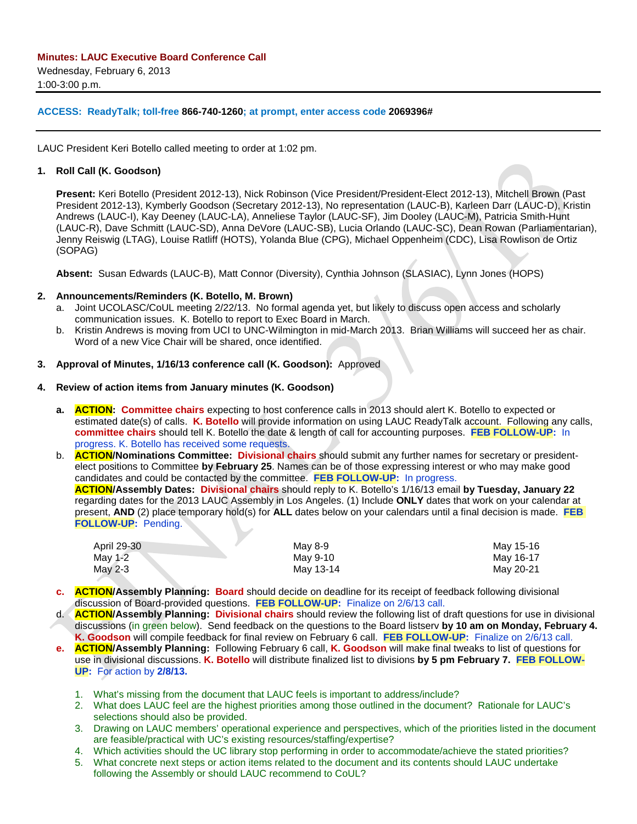#### **ACCESS: ReadyTalk; toll-free 866-740-1260; at prompt, enter access code 2069396#**

LAUC President Keri Botello called meeting to order at 1:02 pm.

#### **1. Roll Call (K. Goodson)**

**Present:** Keri Botello (President 2012-13), Nick Robinson (Vice President/President-Elect 2012-13), Mitchell Brown (Past President 2012-13), Kymberly Goodson (Secretary 2012-13), No representation (LAUC-B), Karleen Darr (LAUC-D), Kristin Andrews (LAUC-I), Kay Deeney (LAUC-LA), Anneliese Taylor (LAUC-SF), Jim Dooley (LAUC-M), Patricia Smith-Hunt (LAUC-R), Dave Schmitt (LAUC-SD), Anna DeVore (LAUC-SB), Lucia Orlando (LAUC-SC), Dean Rowan (Parliamentarian), Jenny Reiswig (LTAG), Louise Ratliff (HOTS), Yolanda Blue (CPG), Michael Oppenheim (CDC), Lisa Rowlison de Ortiz (SOPAG)

**Absent:** Susan Edwards (LAUC-B), Matt Connor (Diversity), Cynthia Johnson (SLASIAC), Lynn Jones (HOPS)

#### **2. Announcements/Reminders (K. Botello, M. Brown)**

- a. Joint UCOLASC/CoUL meeting 2/22/13. No formal agenda yet, but likely to discuss open access and scholarly communication issues. K. Botello to report to Exec Board in March.
- b. Kristin Andrews is moving from UCI to UNC-Wilmington in mid-March 2013. Brian Williams will succeed her as chair. Word of a new Vice Chair will be shared, once identified.

#### **3. Approval of Minutes, 1/16/13 conference call (K. Goodson):** Approved

#### **4. Review of action items from January minutes (K. Goodson)**

- **a. ACTION: Committee chairs** expecting to host conference calls in 2013 should alert K. Botello to expected or estimated date(s) of calls. **K. Botello** will provide information on using LAUC ReadyTalk account. Following any calls, **committee chairs** should tell K. Botello the date & length of call for accounting purposes. **FEB FOLLOW-UP:** In progress. K. Botello has received some requests.
- b. **ACTION/Nominations Committee: Divisional chairs** should submit any further names for secretary or presidentelect positions to Committee **by February 25**. Names can be of those expressing interest or who may make good candidates and could be contacted by the committee. **FEB FOLLOW-UP:** In progress.

**ACTION/Assembly Dates: Divisional chairs** should reply to K. Botello's 1/16/13 email **by Tuesday, January 22**  regarding dates for the 2013 LAUC Assembly in Los Angeles. (1) Include **ONLY** dates that work on your calendar at present, **AND** (2) place temporary hold(s) for **ALL** dates below on your calendars until a final decision is made. **FEB FOLLOW-UP:** Pending.

| April 29-30 | May 8-9   | May 15-16 |
|-------------|-----------|-----------|
| May 1-2     | May 9-10  | May 16-17 |
| May 2-3     | Mav 13-14 | May 20-21 |

- **c. ACTION/Assembly Planning: Board** should decide on deadline for its receipt of feedback following divisional discussion of Board-provided questions. **FEB FOLLOW-UP:** Finalize on 2/6/13 call.
- d. **ACTION/Assembly Planning: Divisional chairs** should review the following list of draft questions for use in divisional discussions (in green below). Send feedback on the questions to the Board listserv **by 10 am on Monday, February 4. K. Goodson** will compile feedback for final review on February 6 call. **FEB FOLLOW-UP:** Finalize on 2/6/13 call.
- **e. ACTION/Assembly Planning:** Following February 6 call, **K. Goodson** will make final tweaks to list of questions for use in divisional discussions. **K. Botello** will distribute finalized list to divisions **by 5 pm February 7. FEB FOLLOW-UP:** For action by **2/8/13.**
	- 1. What's missing from the document that LAUC feels is important to address/include?
	- 2. What does LAUC feel are the highest priorities among those outlined in the document? Rationale for LAUC's selections should also be provided.
	- 3. Drawing on LAUC members' operational experience and perspectives, which of the priorities listed in the document are feasible/practical with UC's existing resources/staffing/expertise?
	- 4. Which activities should the UC library stop performing in order to accommodate/achieve the stated priorities?
	- 5. What concrete next steps or action items related to the document and its contents should LAUC undertake following the Assembly or should LAUC recommend to CoUL?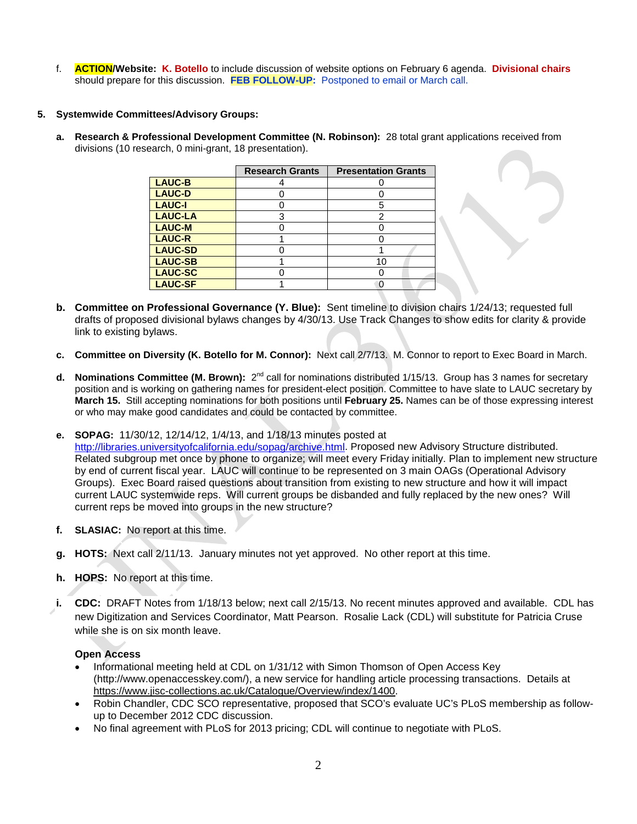f. **ACTION/Website: K. Botello** to include discussion of website options on February 6 agenda. **Divisional chairs**  should prepare for this discussion. **FEB FOLLOW-UP:** Postponed to email or March call.

### **5. Systemwide Committees/Advisory Groups:**

**a. Research & Professional Development Committee (N. Robinson):** 28 total grant applications received from divisions (10 research, 0 mini-grant, 18 presentation).

|                | <b>Research Grants</b> | <b>Presentation Grants</b> |  |
|----------------|------------------------|----------------------------|--|
| LAUC-B         |                        |                            |  |
| <b>LAUC-D</b>  |                        |                            |  |
| <b>LAUC-I</b>  |                        | 5                          |  |
| <b>LAUC-LA</b> | 3                      | 2                          |  |
| <b>LAUC-M</b>  |                        |                            |  |
| <b>LAUC-R</b>  |                        |                            |  |
| <b>LAUC-SD</b> |                        |                            |  |
| <b>LAUC-SB</b> |                        | 10                         |  |
| <b>LAUC-SC</b> |                        |                            |  |
| <b>LAUC-SF</b> |                        |                            |  |

- **b. Committee on Professional Governance (Y. Blue):** Sent timeline to division chairs 1/24/13; requested full drafts of proposed divisional bylaws changes by 4/30/13. Use Track Changes to show edits for clarity & provide link to existing bylaws.
- **c. Committee on Diversity (K. Botello for M. Connor):** Next call 2/7/13. M. Connor to report to Exec Board in March.
- **d.** Nominations Committee (M. Brown): 2<sup>nd</sup> call for nominations distributed 1/15/13. Group has 3 names for secretary position and is working on gathering names for president-elect position. Committee to have slate to LAUC secretary by **March 15.** Still accepting nominations for both positions until **February 25.** Names can be of those expressing interest or who may make good candidates and could be contacted by committee.
- **e. SOPAG:** 11/30/12, 12/14/12, 1/4/13, and 1/18/13 minutes posted at

[http://libraries.universityofcalifornia.edu/sopag/archive.html.](http://libraries.universityofcalifornia.edu/sopag/archive.html) Proposed new Advisory Structure distributed. Related subgroup met once by phone to organize; will meet every Friday initially. Plan to implement new structure by end of current fiscal year. LAUC will continue to be represented on 3 main OAGs (Operational Advisory Groups). Exec Board raised questions about transition from existing to new structure and how it will impact current LAUC systemwide reps. Will current groups be disbanded and fully replaced by the new ones? Will current reps be moved into groups in the new structure?

- **f. SLASIAC:** No report at this time.
- **g. HOTS:** Next call 2/11/13. January minutes not yet approved. No other report at this time.
- **h. HOPS:** No report at this time.
- **i. CDC:** DRAFT Notes from 1/18/13 below; next call 2/15/13. No recent minutes approved and available. CDL has new Digitization and Services Coordinator, Matt Pearson. Rosalie Lack (CDL) will substitute for Patricia Cruse while she is on six month leave.

### **Open Access**

- Informational meeting held at CDL on 1/31/12 with Simon Thomson of Open Access Key (http:/[/www.openaccesskey.com/\)](http://www.openaccesskey.com/page/test_user_guide/), a new service for handling article processing transactions. Details at [https://www.jisc-collections.ac.uk/Catalogue/Overview/index/1400.](https://www.jisc-collections.ac.uk/Catalogue/Overview/index/1400)
- Robin Chandler, CDC SCO representative, proposed that SCO's evaluate UC's PLoS membership as followup to December 2012 CDC discussion.
- No final agreement with PLoS for 2013 pricing; CDL will continue to negotiate with PLoS.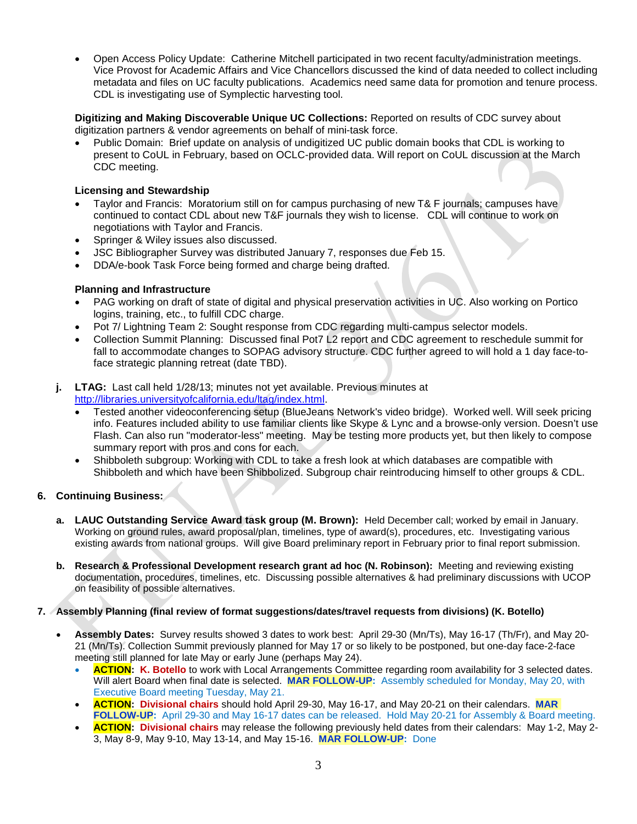• Open Access Policy Update: Catherine Mitchell participated in two recent faculty/administration meetings. Vice Provost for Academic Affairs and Vice Chancellors discussed the kind of data needed to collect including metadata and files on UC faculty publications. Academics need same data for promotion and tenure process. CDL is investigating use of Symplectic harvesting tool.

**Digitizing and Making Discoverable Unique UC Collections:** Reported on results of CDC survey about digitization partners & vendor agreements on behalf of mini-task force.

• Public Domain: Brief update on analysis of undigitized UC public domain books that CDL is working to present to CoUL in February, based on OCLC-provided data. Will report on CoUL discussion at the March CDC meeting.

# **Licensing and Stewardship**

- Taylor and Francis: Moratorium still on for campus purchasing of new T& F journals; campuses have continued to contact CDL about new T&F journals they wish to license. CDL will continue to work on negotiations with Taylor and Francis.
- Springer & Wiley issues also discussed.
- JSC Bibliographer Survey was distributed January 7, responses due Feb 15.
- DDA/e-book Task Force being formed and charge being drafted.

# **Planning and Infrastructure**

- PAG working on draft of state of digital and physical preservation activities in UC. Also working on Portico logins, training, etc., to fulfill CDC charge.
- Pot 7/ Lightning Team 2: Sought response from CDC regarding multi-campus selector models.
- Collection Summit Planning: Discussed final Pot7 L2 report and CDC agreement to reschedule summit for fall to accommodate changes to SOPAG advisory structure. CDC further agreed to will hold a 1 day face-toface strategic planning retreat (date TBD).
- **j. LTAG:** Last call held 1/28/13; minutes not yet available. Previous minutes at [http://libraries.universityofcalifornia.edu/ltag/index.html.](http://libraries.universityofcalifornia.edu/ltag/index.html)
	- Tested another videoconferencing setup (BlueJeans Network's video bridge). Worked well. Will seek pricing info. Features included ability to use familiar clients like Skype & Lync and a browse-only version. Doesn't use Flash. Can also run "moderator-less" meeting. May be testing more products yet, but then likely to compose summary report with pros and cons for each.
	- Shibboleth subgroup: Working with CDL to take a fresh look at which databases are compatible with Shibboleth and which have been Shibbolized. Subgroup chair reintroducing himself to other groups & CDL.

# **6. Continuing Business:**

- **a. LAUC Outstanding Service Award task group (M. Brown):** Held December call; worked by email in January. Working on ground rules, award proposal/plan, timelines, type of award(s), procedures, etc. Investigating various existing awards from national groups. Will give Board preliminary report in February prior to final report submission.
- **b. Research & Professional Development research grant ad hoc (N. Robinson):** Meeting and reviewing existing documentation, procedures, timelines, etc. Discussing possible alternatives & had preliminary discussions with UCOP on feasibility of possible alternatives.

# **7. Assembly Planning (final review of format suggestions/dates/travel requests from divisions) (K. Botello)**

- **Assembly Dates:** Survey results showed 3 dates to work best: April 29-30 (Mn/Ts), May 16-17 (Th/Fr), and May 20- 21 (Mn/Ts). Collection Summit previously planned for May 17 or so likely to be postponed, but one-day face-2-face meeting still planned for late May or early June (perhaps May 24).
	- **ACTION: K. Botello** to work with Local Arrangements Committee regarding room availability for 3 selected dates. Will alert Board when final date is selected. **MAR FOLLOW-UP:** Assembly scheduled for Monday, May 20, with Executive Board meeting Tuesday, May 21.
	- **ACTION: Divisional chairs** should hold April 29-30, May 16-17, and May 20-21 on their calendars. **MAR FOLLOW-UP:** April 29-30 and May 16-17 dates can be released. Hold May 20-21 for Assembly & Board meeting.
	- **ACTION: Divisional chairs** may release the following previously held dates from their calendars: May 1-2, May 2- 3, May 8-9, May 9-10, May 13-14, and May 15-16. **MAR FOLLOW-UP:** Done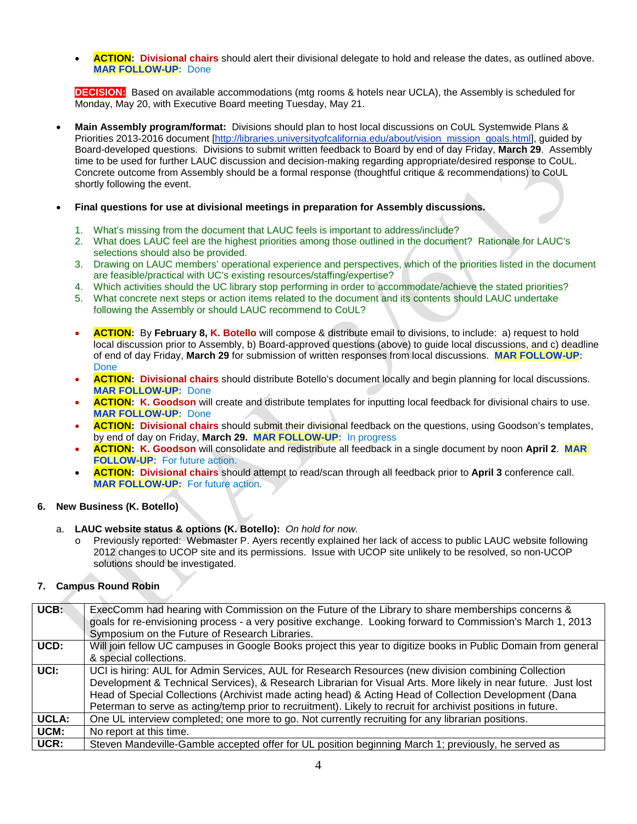• **ACTION: Divisional chairs** should alert their divisional delegate to hold and release the dates, as outlined above. **MAR FOLLOW-UP:** Done

**DECISION:** Based on available accommodations (mtg rooms & hotels near UCLA), the Assembly is scheduled for Monday, May 20, with Executive Board meeting Tuesday, May 21.

- **Main Assembly program/format:** Divisions should plan to host local discussions on CoUL Systemwide Plans & Priorities 2013-2016 document [\[http://libraries.universityofcalifornia.edu/about/vision\\_mission\\_goals.html\]](http://libraries.universityofcalifornia.edu/about/vision_mission_goals.html), guided by Board-developed questions. Divisions to submit written feedback to Board by end of day Friday, **March 29**. Assembly time to be used for further LAUC discussion and decision-making regarding appropriate/desired response to CoUL. Concrete outcome from Assembly should be a formal response (thoughtful critique & recommendations) to CoUL shortly following the event.
- **Final questions for use at divisional meetings in preparation for Assembly discussions.**
	- 1. What's missing from the document that LAUC feels is important to address/include?
	- 2. What does LAUC feel are the highest priorities among those outlined in the document? Rationale for LAUC's selections should also be provided.
	- 3. Drawing on LAUC members' operational experience and perspectives, which of the priorities listed in the document are feasible/practical with UC's existing resources/staffing/expertise?
	- 4. Which activities should the UC library stop performing in order to accommodate/achieve the stated priorities?
	- 5. What concrete next steps or action items related to the document and its contents should LAUC undertake following the Assembly or should LAUC recommend to CoUL?
	- **ACTION:** By **February 8, K. Botello** will compose & distribute email to divisions, to include: a) request to hold local discussion prior to Assembly, b) Board-approved questions (above) to guide local discussions, and c) deadline of end of day Friday, **March 29** for submission of written responses from local discussions. **MAR FOLLOW-UP:**  Done
	- **ACTION: Divisional chairs** should distribute Botello's document locally and begin planning for local discussions. **MAR FOLLOW-UP:** Done
	- **ACTION: K. Goodson** will create and distribute templates for inputting local feedback for divisional chairs to use. **MAR FOLLOW-UP:** Done
	- **ACTION: Divisional chairs** should submit their divisional feedback on the questions, using Goodson's templates, by end of day on Friday, **March 29. MAR FOLLOW-UP:** In progress
	- **ACTION: K. Goodson** will consolidate and redistribute all feedback in a single document by noon **April 2**. **MAR FOLLOW-UP:** For future action.
	- **ACTION: Divisional chairs** should attempt to read/scan through all feedback prior to **April 3** conference call. **MAR FOLLOW-UP:** For future action.

### **6. New Business (K. Botello)**

- a. **LAUC website status & options (K. Botello):** *On hold for now.*
	- o Previously reported: Webmaster P. Ayers recently explained her lack of access to public LAUC website following 2012 changes to UCOP site and its permissions. Issue with UCOP site unlikely to be resolved, so non-UCOP solutions should be investigated.

### **7. Campus Round Robin**

| UCB:         | ExecComm had hearing with Commission on the Future of the Library to share memberships concerns &              |
|--------------|----------------------------------------------------------------------------------------------------------------|
|              | goals for re-envisioning process - a very positive exchange. Looking forward to Commission's March 1, 2013     |
|              | Symposium on the Future of Research Libraries.                                                                 |
| UCD:         | Will join fellow UC campuses in Google Books project this year to digitize books in Public Domain from general |
|              | & special collections.                                                                                         |
| UCI:         | UCI is hiring: AUL for Admin Services, AUL for Research Resources (new division combining Collection           |
|              | Development & Technical Services), & Research Librarian for Visual Arts. More likely in near future. Just lost |
|              | Head of Special Collections (Archivist made acting head) & Acting Head of Collection Development (Dana         |
|              | Peterman to serve as acting/temp prior to recruitment). Likely to recruit for archivist positions in future.   |
| <b>UCLA:</b> | One UL interview completed; one more to go. Not currently recruiting for any librarian positions.              |
| UCM:         | No report at this time.                                                                                        |
| UCR:         | Steven Mandeville-Gamble accepted offer for UL position beginning March 1; previously, he served as            |